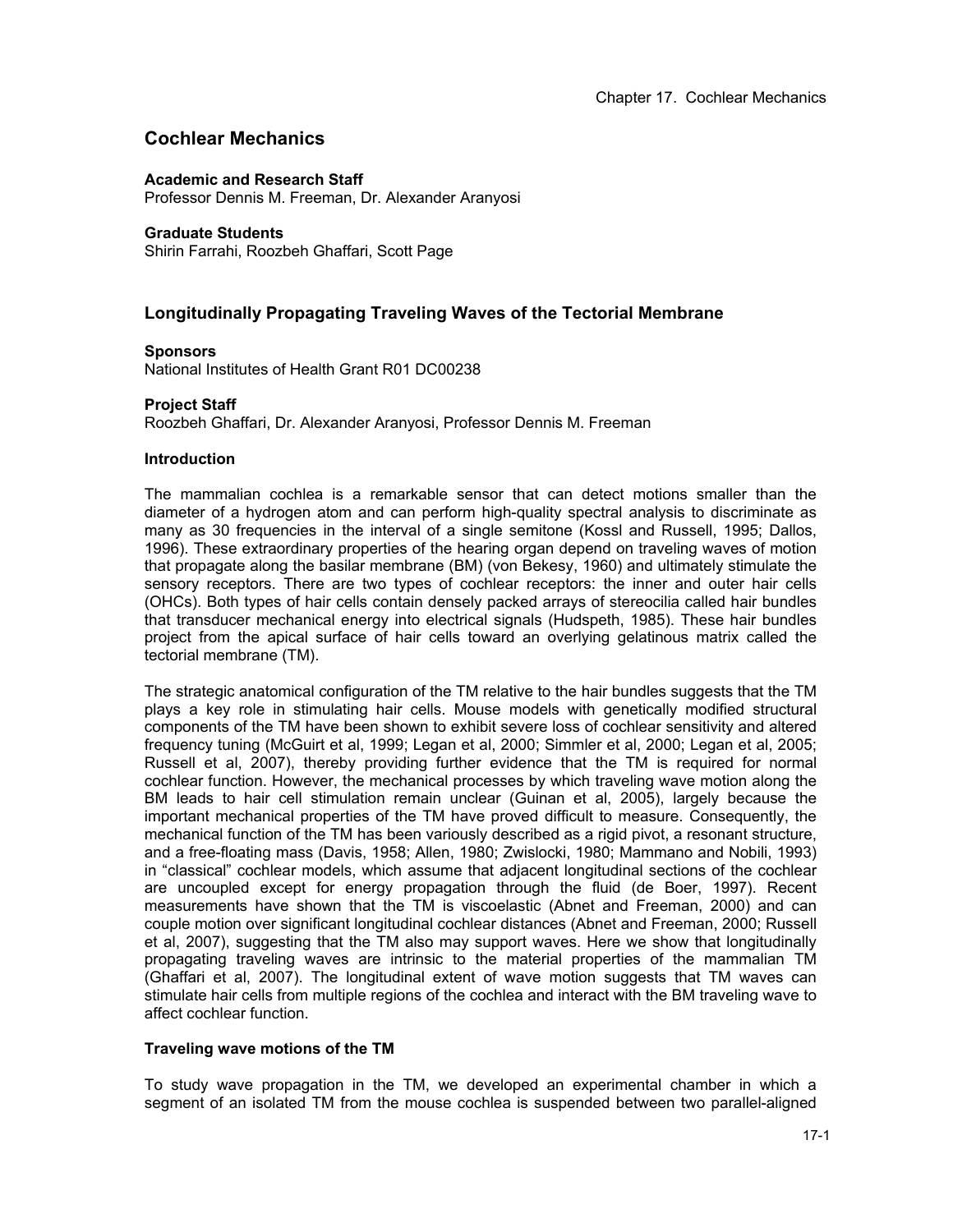# **Cochlear Mechanics**

# **Academic and Research Staff**

Professor Dennis M. Freeman, Dr. Alexander Aranyosi

# **Graduate Students**

Shirin Farrahi, Roozbeh Ghaffari, Scott Page

# **Longitudinally Propagating Traveling Waves of the Tectorial Membrane**

# **Sponsors**

National Institutes of Health Grant R01 DC00238

# **Project Staff**

Roozbeh Ghaffari, Dr. Alexander Aranyosi, Professor Dennis M. Freeman

### **Introduction**

The mammalian cochlea is a remarkable sensor that can detect motions smaller than the diameter of a hydrogen atom and can perform high-quality spectral analysis to discriminate as many as 30 frequencies in the interval of a single semitone (Kossl and Russell, 1995; Dallos, 1996). These extraordinary properties of the hearing organ depend on traveling waves of motion that propagate along the basilar membrane (BM) (von Bekesy, 1960) and ultimately stimulate the sensory receptors. There are two types of cochlear receptors: the inner and outer hair cells (OHCs). Both types of hair cells contain densely packed arrays of stereocilia called hair bundles that transducer mechanical energy into electrical signals (Hudspeth, 1985). These hair bundles project from the apical surface of hair cells toward an overlying gelatinous matrix called the tectorial membrane (TM).

The strategic anatomical configuration of the TM relative to the hair bundles suggests that the TM plays a key role in stimulating hair cells. Mouse models with genetically modified structural components of the TM have been shown to exhibit severe loss of cochlear sensitivity and altered frequency tuning (McGuirt et al, 1999; Legan et al, 2000; Simmler et al, 2000; Legan et al, 2005; Russell et al, 2007), thereby providing further evidence that the TM is required for normal cochlear function. However, the mechanical processes by which traveling wave motion along the BM leads to hair cell stimulation remain unclear (Guinan et al, 2005), largely because the important mechanical properties of the TM have proved difficult to measure. Consequently, the mechanical function of the TM has been variously described as a rigid pivot, a resonant structure, and a free-floating mass (Davis, 1958; Allen, 1980; Zwislocki, 1980; Mammano and Nobili, 1993) in "classical" cochlear models, which assume that adjacent longitudinal sections of the cochlear are uncoupled except for energy propagation through the fluid (de Boer, 1997). Recent measurements have shown that the TM is viscoelastic (Abnet and Freeman, 2000) and can couple motion over significant longitudinal cochlear distances (Abnet and Freeman, 2000; Russell et al, 2007), suggesting that the TM also may support waves. Here we show that longitudinally propagating traveling waves are intrinsic to the material properties of the mammalian TM (Ghaffari et al, 2007). The longitudinal extent of wave motion suggests that TM waves can stimulate hair cells from multiple regions of the cochlea and interact with the BM traveling wave to affect cochlear function.

# **Traveling wave motions of the TM**

To study wave propagation in the TM, we developed an experimental chamber in which a segment of an isolated TM from the mouse cochlea is suspended between two parallel-aligned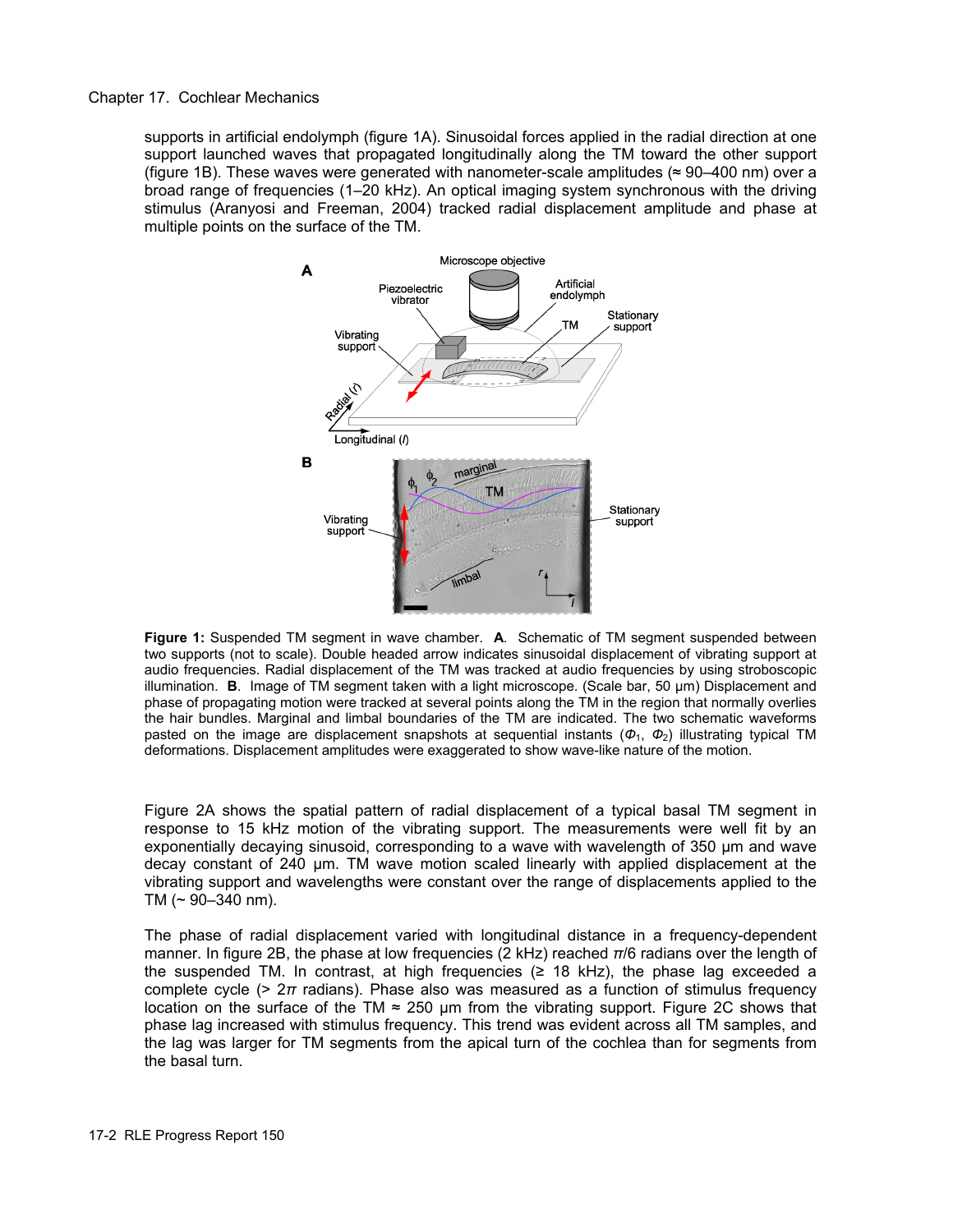Chapter 17. Cochlear Mechanics

supports in artificial endolymph (figure 1A). Sinusoidal forces applied in the radial direction at one support launched waves that propagated longitudinally along the TM toward the other support (figure 1B). These waves were generated with nanometer-scale amplitudes ( $\approx$  90–400 nm) over a broad range of frequencies (1–20 kHz). An optical imaging system synchronous with the driving stimulus (Aranyosi and Freeman, 2004) tracked radial displacement amplitude and phase at multiple points on the surface of the TM.



**Figure 1:** Suspended TM segment in wave chamber. **A**. Schematic of TM segment suspended between two supports (not to scale). Double headed arrow indicates sinusoidal displacement of vibrating support at audio frequencies. Radial displacement of the TM was tracked at audio frequencies by using stroboscopic illumination. **B**. Image of TM segment taken with a light microscope. (Scale bar, 50 μm) Displacement and phase of propagating motion were tracked at several points along the TM in the region that normally overlies the hair bundles. Marginal and limbal boundaries of the TM are indicated. The two schematic waveforms pasted on the image are displacement snapshots at sequential instants  $(\Phi_1, \Phi_2)$  illustrating typical TM deformations. Displacement amplitudes were exaggerated to show wave-like nature of the motion.

Figure 2A shows the spatial pattern of radial displacement of a typical basal TM segment in response to 15 kHz motion of the vibrating support. The measurements were well fit by an exponentially decaying sinusoid, corresponding to a wave with wavelength of 350 μm and wave decay constant of 240 μm. TM wave motion scaled linearly with applied displacement at the vibrating support and wavelengths were constant over the range of displacements applied to the TM  $($   $\sim$  90–340 nm).

The phase of radial displacement varied with longitudinal distance in a frequency-dependent manner. In figure 2B, the phase at low frequencies (2 kHz) reached *π*/6 radians over the length of the suspended TM. In contrast, at high frequencies  $(≥ 18$  kHz), the phase lag exceeded a complete cycle (> 2*π* radians). Phase also was measured as a function of stimulus frequency location on the surface of the TM  $\approx$  250 µm from the vibrating support. Figure 2C shows that phase lag increased with stimulus frequency. This trend was evident across all TM samples, and the lag was larger for TM segments from the apical turn of the cochlea than for segments from the basal turn.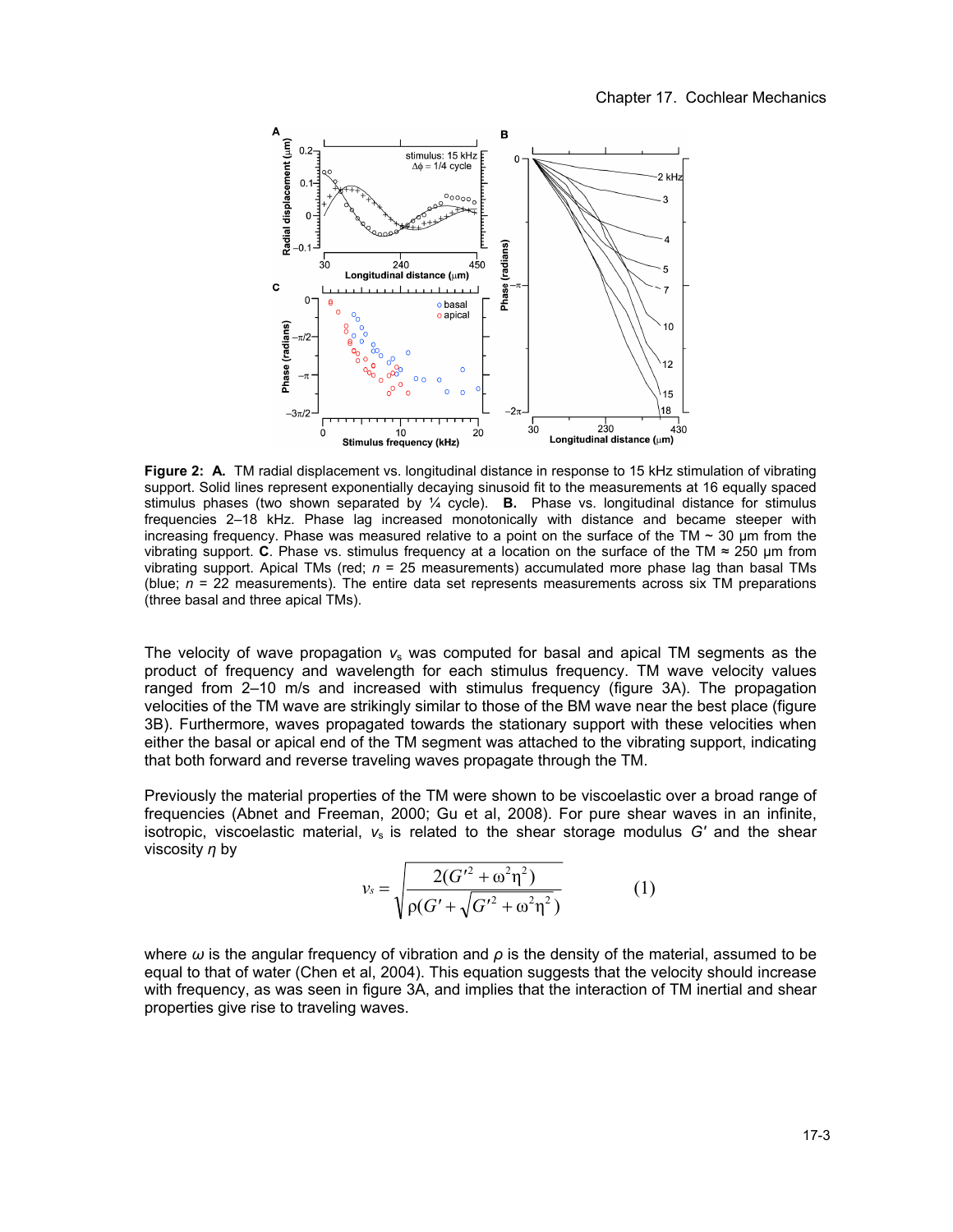

**Figure 2: A.** TM radial displacement vs. longitudinal distance in response to 15 kHz stimulation of vibrating support. Solid lines represent exponentially decaying sinusoid fit to the measurements at 16 equally spaced stimulus phases (two shown separated by ¼ cycle). **B.** Phase vs. longitudinal distance for stimulus frequencies 2–18 kHz. Phase lag increased monotonically with distance and became steeper with increasing frequency. Phase was measured relative to a point on the surface of the TM  $\sim$  30 µm from the vibrating support. **C**. Phase vs. stimulus frequency at a location on the surface of the TM ≈ 250 μm from vibrating support. Apical TMs (red; *n* = 25 measurements) accumulated more phase lag than basal TMs (blue;  $n = 22$  measurements). The entire data set represents measurements across six TM preparations (three basal and three apical TMs).

The velocity of wave propagation *v*s was computed for basal and apical TM segments as the product of frequency and wavelength for each stimulus frequency. TM wave velocity values ranged from 2–10 m/s and increased with stimulus frequency (figure 3A). The propagation velocities of the TM wave are strikingly similar to those of the BM wave near the best place (figure 3B). Furthermore, waves propagated towards the stationary support with these velocities when either the basal or apical end of the TM segment was attached to the vibrating support, indicating that both forward and reverse traveling waves propagate through the TM.

Previously the material properties of the TM were shown to be viscoelastic over a broad range of frequencies (Abnet and Freeman, 2000; Gu et al, 2008). For pure shear waves in an infinite, isotropic, viscoelastic material,  $v_s$  is related to the shear storage modulus *G'* and the shear viscosity *η* by

$$
\nu_s = \sqrt{\frac{2(G'^2 + \omega^2 \eta^2)}{\rho(G' + \sqrt{G'^2 + \omega^2 \eta^2})}}
$$
(1)

where *ω* is the angular frequency of vibration and *ρ* is the density of the material, assumed to be equal to that of water (Chen et al, 2004). This equation suggests that the velocity should increase with frequency, as was seen in figure 3A, and implies that the interaction of TM inertial and shear properties give rise to traveling waves.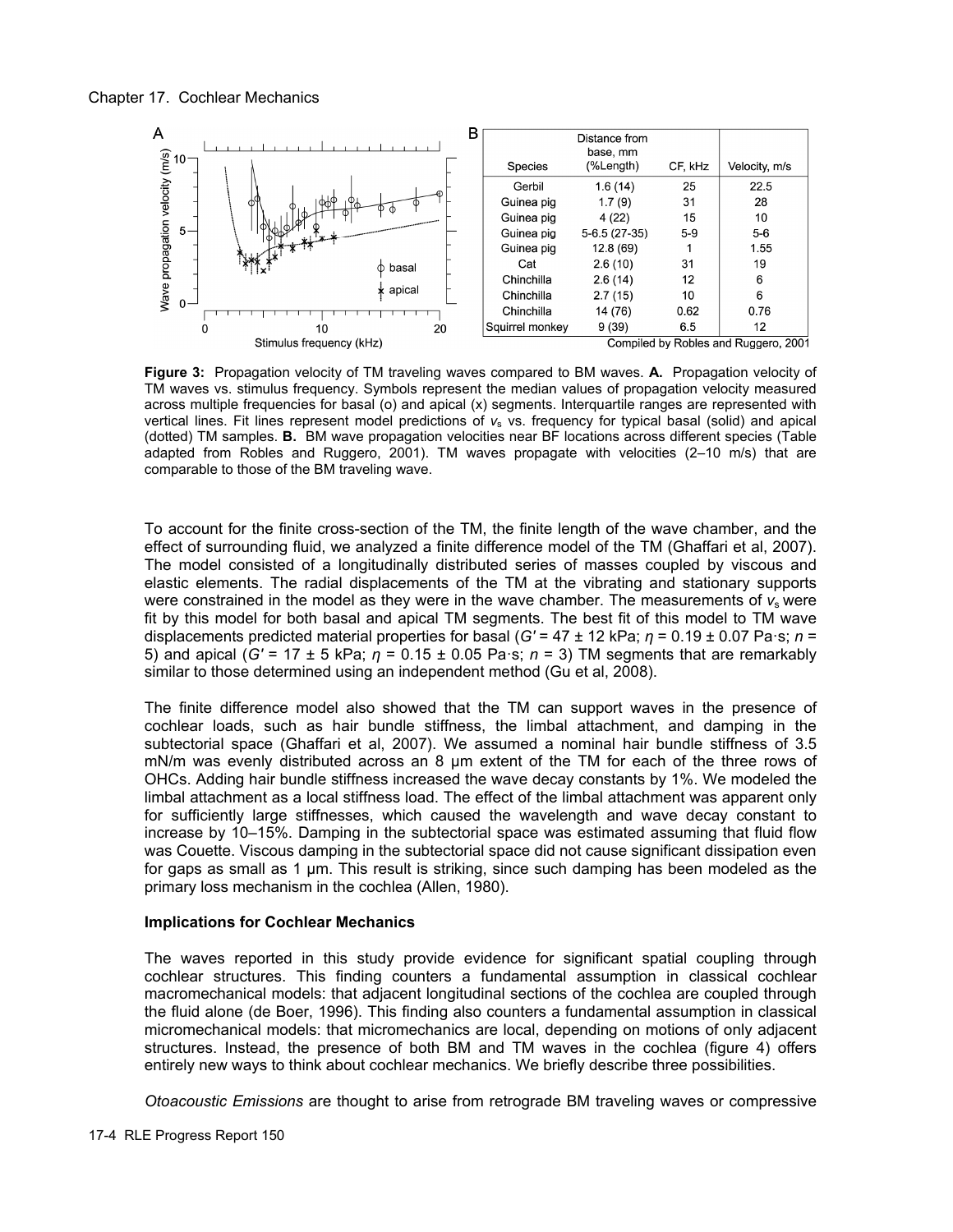

**Figure 3:** Propagation velocity of TM traveling waves compared to BM waves. **A.** Propagation velocity of TM waves vs. stimulus frequency. Symbols represent the median values of propagation velocity measured across multiple frequencies for basal (o) and apical (x) segments. Interquartile ranges are represented with vertical lines. Fit lines represent model predictions of  $v<sub>s</sub>$  vs. frequency for typical basal (solid) and apical (dotted) TM samples. **B.** BM wave propagation velocities near BF locations across different species (Table adapted from Robles and Ruggero, 2001). TM waves propagate with velocities (2–10 m/s) that are comparable to those of the BM traveling wave.

To account for the finite cross-section of the TM, the finite length of the wave chamber, and the effect of surrounding fluid, we analyzed a finite difference model of the TM (Ghaffari et al, 2007). The model consisted of a longitudinally distributed series of masses coupled by viscous and elastic elements. The radial displacements of the TM at the vibrating and stationary supports were constrained in the model as they were in the wave chamber. The measurements of  $v_s$  were fit by this model for both basal and apical TM segments. The best fit of this model to TM wave displacements predicted material properties for basal (*G'* = 47 ± 12 kPa; *η* = 0.19 ± 0.07 Pa·s; *n* = 5) and apical (*G'* = 17 ± 5 kPa; *η* = 0.15 ± 0.05 Pa·s; *n* = 3) TM segments that are remarkably similar to those determined using an independent method (Gu et al, 2008).

The finite difference model also showed that the TM can support waves in the presence of cochlear loads, such as hair bundle stiffness, the limbal attachment, and damping in the subtectorial space (Ghaffari et al, 2007). We assumed a nominal hair bundle stiffness of 3.5 mN/m was evenly distributed across an 8 μm extent of the TM for each of the three rows of OHCs. Adding hair bundle stiffness increased the wave decay constants by 1%. We modeled the limbal attachment as a local stiffness load. The effect of the limbal attachment was apparent only for sufficiently large stiffnesses, which caused the wavelength and wave decay constant to increase by 10–15%. Damping in the subtectorial space was estimated assuming that fluid flow was Couette. Viscous damping in the subtectorial space did not cause significant dissipation even for gaps as small as 1 μm. This result is striking, since such damping has been modeled as the primary loss mechanism in the cochlea (Allen, 1980).

# **Implications for Cochlear Mechanics**

The waves reported in this study provide evidence for significant spatial coupling through cochlear structures. This finding counters a fundamental assumption in classical cochlear macromechanical models: that adjacent longitudinal sections of the cochlea are coupled through the fluid alone (de Boer, 1996). This finding also counters a fundamental assumption in classical micromechanical models: that micromechanics are local, depending on motions of only adjacent structures. Instead, the presence of both BM and TM waves in the cochlea (figure 4) offers entirely new ways to think about cochlear mechanics. We briefly describe three possibilities.

*Otoacoustic Emissions* are thought to arise from retrograde BM traveling waves or compressive